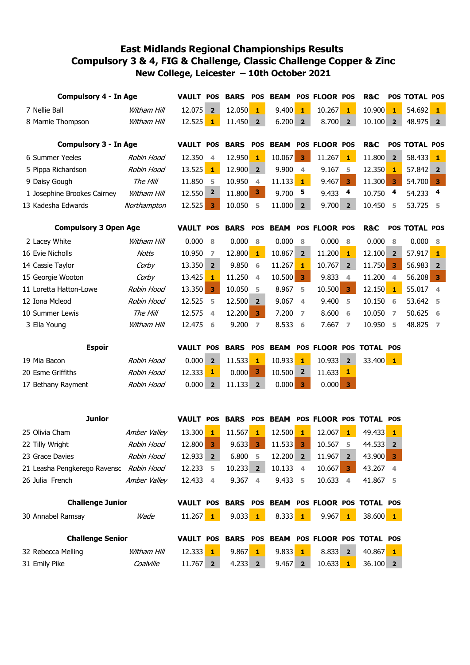## **Compulsory 3 & 4, FIG & Challenge, Classic Challenge Copper & Zinc New College, Leicester – 10th October 2021 East Midlands Regional Championships Results**

| <b>Compulsory 4 - In Age</b> |                                         |              | <b>VAULT</b>     | <b>POS</b>              | <b>BARS</b> | <b>POS</b>     | <b>BEAM</b> |                         | POS FLOOR POS |                         | <b>R&amp;C</b>                                  |                         | POS TOTAL POS |                         |
|------------------------------|-----------------------------------------|--------------|------------------|-------------------------|-------------|----------------|-------------|-------------------------|---------------|-------------------------|-------------------------------------------------|-------------------------|---------------|-------------------------|
|                              | 7 Nellie Ball                           | Witham Hill  | 12.075           | $\overline{2}$          | 12.050      | $\mathbf{1}$   | 9.400       | $\mathbf{1}$            | 10.267        | $\mathbf{1}$            | 10.900                                          | $\mathbf{1}$            | 54.692        | $\mathbf{1}$            |
|                              | 8 Marnie Thompson                       | Witham Hill  | 12.525           | $\mathbf{1}$            | 11.450      | $\overline{2}$ | 6.200       | $\overline{2}$          | 8.700 2       |                         | 10.100                                          | $\overline{2}$          | 48.975 2      |                         |
|                              |                                         |              |                  |                         |             |                |             |                         |               |                         |                                                 |                         |               |                         |
| <b>Compulsory 3 - In Age</b> |                                         |              | <b>VAULT POS</b> |                         | <b>BARS</b> | <b>POS</b>     | <b>BEAM</b> |                         | POS FLOOR POS |                         | <b>R&amp;C</b>                                  |                         | POS TOTAL POS |                         |
|                              | 6 Summer Yeeles                         | Robin Hood   | 12.350           | $\overline{4}$          | 12.950      | $\mathbf{1}$   | 10.067      | $\overline{\mathbf{3}}$ | $11.267$ 1    |                         | 11.800                                          | $\overline{2}$          | 58.433        | $\mathbf{1}$            |
|                              | 5 Pippa Richardson                      | Robin Hood   | 13.525           | $\mathbf{1}$            | 12.900 2    |                | 9.900       | $\overline{4}$          | 9.167 5       |                         | 12.350                                          | 1                       | 57.842 2      |                         |
|                              | 9 Daisy Gough                           | The Mill     | 11.850           | 5                       | 10.950      | $\overline{4}$ | 11.133      | $\mathbf{1}$            | 9.467         | $\overline{\mathbf{3}}$ | 11.300                                          | $\overline{\mathbf{3}}$ | 54.700        | $\mathbf{3}$            |
|                              | 1 Josephine Brookes Cairney             | Witham Hill  | 12.550           | $\overline{\mathbf{2}}$ | 11.800      | $\mathbf{3}$   | 9.700       | -5                      | 9.433         | $\overline{\mathbf{4}}$ | 10.750                                          | 4                       | 54.233        | $\overline{\mathbf{4}}$ |
|                              | 13 Kadesha Edwards                      | Northampton  | 12.525           | $\overline{\mathbf{3}}$ | 10.050      | 5              | 11.000      | $\overline{2}$          | 9.700         | $\overline{\mathbf{2}}$ | 10.450                                          | 5                       | 53.725        | - 5                     |
| <b>Compulsory 3 Open Age</b> |                                         |              | <b>VAULT POS</b> |                         | <b>BARS</b> | <b>POS</b>     | <b>BEAM</b> |                         | POS FLOOR POS |                         | <b>R&amp;C</b>                                  |                         | POS TOTAL POS |                         |
|                              | 2 Lacey White                           | Witham Hill  | 0.000            | 8                       | 0.000       | 8              | 0.000       | 8                       | 0.000         | 8                       | 0.000                                           | 8                       | 0.000         | 8                       |
|                              | 16 Evie Nicholls                        | Notts        | 10.950           | 7                       | 12.800      | $\mathbf{1}$   | 10.867      | $\overline{\mathbf{2}}$ | 11.200        | 1                       | 12.100                                          | $\overline{2}$          | 57.917        | $\mathbf{1}$            |
|                              | 14 Cassie Taylor                        | Corby        | 13.350           | $\overline{2}$          | 9.850       | 6              | 11.267      | $\mathbf{1}$            | 10.767        | $\overline{2}$          | 11.750                                          | $\overline{\mathbf{3}}$ | 56.983        | $\overline{\mathbf{2}}$ |
|                              | 15 Georgie Wooton                       | Corby        | 13.425           | $\mathbf{1}$            | 11.250      | $\overline{4}$ | 10.500      | $\mathbf{3}$            | 9.833         | $\overline{4}$          | 11.200                                          | $\overline{4}$          | 56.208        | $\overline{\mathbf{3}}$ |
|                              | 11 Loretta Hatton-Lowe                  | Robin Hood   | 13.350           | $\overline{\mathbf{3}}$ | 10.050      | 5              | 8.967       | 5                       | 10.500        | $\overline{\mathbf{3}}$ | 12.150                                          | $\mathbf{1}$            | 55.017        | $\overline{4}$          |
|                              | 12 Iona Mcleod                          | Robin Hood   | 12.525           | 5                       | 12.500      | $\overline{2}$ | 9.067       | $\overline{4}$          | 9.400         | 5                       | 10.150                                          | 6                       | 53.642        | - 5                     |
|                              | 10 Summer Lewis                         | The Mill     | 12.575           | $\overline{4}$          | 12.200      | 3              | 7.200       | $\overline{7}$          | 8.600         | 6                       | 10.050                                          | 7                       | 50.625        | - 6                     |
|                              | 3 Ella Young                            | Witham Hill  | 12.475           | 6                       | 9.200       | $\overline{7}$ | 8.533       | 6                       | 7.667         | $\overline{7}$          | 10.950                                          | 5                       | 48.825        | $\overline{7}$          |
|                              | <b>Espoir</b>                           |              | <b>VAULT</b>     | <b>POS</b>              | <b>BARS</b> | <b>POS</b>     | <b>BEAM</b> |                         | POS FLOOR POS |                         | <b>TOTAL POS</b>                                |                         |               |                         |
|                              | 19 Mia Bacon                            | Robin Hood   | 0.000            | $\overline{\mathbf{2}}$ | 11.533      | $\mathbf{1}$   | 10.933      | $\mathbf{1}$            | 10.933        | $\overline{\mathbf{2}}$ | 33.400                                          | $\mathbf{1}$            |               |                         |
|                              | 20 Esme Griffiths                       | Robin Hood   | 12.333           | 1                       | 0.000       | 3              | 10.500      | $\mathbf{2}$            | 11.633        | 1                       |                                                 |                         |               |                         |
|                              | 17 Bethany Rayment                      | Robin Hood   | 0.000            | $\overline{2}$          | 11.133      | $\overline{2}$ | 0.000       | 3                       | 0.000         | $\overline{\mathbf{3}}$ |                                                 |                         |               |                         |
|                              |                                         |              |                  |                         |             |                |             |                         |               |                         |                                                 |                         |               |                         |
|                              |                                         |              |                  |                         |             |                |             |                         |               |                         |                                                 |                         |               |                         |
|                              | <b>Junior</b>                           |              | <b>VAULT POS</b> |                         | <b>BARS</b> | <b>POS</b>     | <b>BEAM</b> |                         |               |                         | POS FLOOR POS TOTAL POS                         |                         |               |                         |
|                              | 25 Olivia Cham                          | Amber Valley | 13.300           | $\mathbf{1}$            | 11.567      | $\mathbf{1}$   | 12.500      | $\mathbf{1}$            | 12.067        | $\mathbf{1}$            | 49.433                                          | $\mathbf{1}$            |               |                         |
|                              | 22 Tilly Wright                         | Robin Hood   | 12.800           | 3                       | 9.633       | 3              | 11.533      | $\overline{\mathbf{3}}$ | 10.567        | 5                       | 44.533 2                                        |                         |               |                         |
|                              | 23 Grace Davies                         | Robin Hood   | 12.933 2         |                         | 6.800 5     |                | 12.200 2    |                         | 11.967 2      |                         | $43.900$ 3                                      |                         |               |                         |
|                              | 21 Leasha Pengkerego Ravensc Robin Hood |              | 12.233 5         |                         | $10.233$ 2  |                | 10.133 4    |                         | $10.667$ 3    |                         | 43.267 4                                        |                         |               |                         |
|                              | 26 Julia French                         | Amber Valley | 12.433           | $\overline{4}$          | 9.367 4     |                | 9.433 5     |                         | 10.633 4      |                         | 41.867 5                                        |                         |               |                         |
| <b>Challenge Junior</b>      |                                         |              |                  |                         |             |                |             |                         |               |                         | VAULT POS BARS POS BEAM POS FLOOR POS TOTAL POS |                         |               |                         |
|                              | 30 Annabel Ramsay                       | Wade         | $11.267$ 1       |                         | $9.033$ 1   |                | $8.333$ 1   |                         | $9.967$ 1     |                         | $38.600$ 1                                      |                         |               |                         |
| <b>Challenge Senior</b>      |                                         |              |                  |                         |             |                |             |                         |               |                         | VAULT POS BARS POS BEAM POS FLOOR POS TOTAL POS |                         |               |                         |
|                              | 32 Rebecca Melling                      | Witham Hill  | $12.333$ 1       |                         | $9.867$ 1   |                | $9.833$ 1   |                         | 8.833 2       |                         | $40.867$ 1                                      |                         |               |                         |
|                              | 31 Emily Pike                           | Coalville    | $11.767$ 2       |                         | $4.233$ 2   |                | $9.467$ 2   |                         | $10.633$ 1    |                         | $36.100$ 2                                      |                         |               |                         |
|                              |                                         |              |                  |                         |             |                |             |                         |               |                         |                                                 |                         |               |                         |